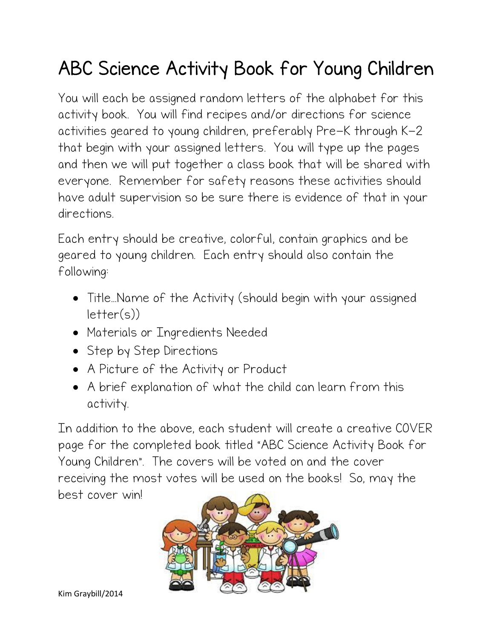## ABC Science Activity Book for Young Children

You will each be assigned random letters of the alphabet for this activity book. You will find recipes and/or directions for science activities geared to young children, preferably Pre-K through K-2 that begin with your assigned letters. You will type up the pages and then we will put together a class book that will be shared with everyone. Remember for safety reasons these activities should have adult supervision so be sure there is evidence of that in your directions.

Each entry should be creative, colorful, contain graphics and be geared to young children. Each entry should also contain the following:

- Title…Name of the Activity (should begin with your assigned  $letter(s)$
- Materials or Ingredients Needed
- Step by Step Directions
- A Picture of the Activity or Product
- A brief explanation of what the child can learn from this activity.

In addition to the above, each student will create a creative COVER page for the completed book titled "ABC Science Activity Book for Young Children". The covers will be voted on and the cover receiving the most votes will be used on the books! So, may the best cover win!